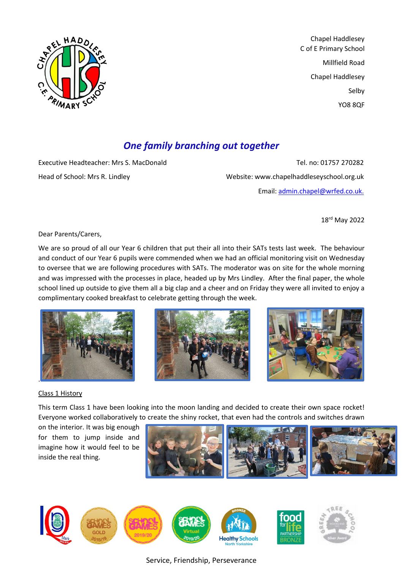

Chapel Haddlesey C of E Primary School Millfield Road Chapel Haddlesey Selby YO8 8QF

# *One family branching out together*

Executive Headteacher: Mrs S. MacDonald Tel. no: 01757 270282 Head of School: Mrs R. Lindley Website: www.chapelhaddleseyschool.org.uk Email: [admin.chapel@wrfed.co.uk.](mailto:admin.chapel@wrfed.co.uk)

18rd May 2022

Dear Parents/Carers,

We are so proud of all our Year 6 children that put their all into their SATs tests last week. The behaviour and conduct of our Year 6 pupils were commended when we had an official monitoring visit on Wednesday to oversee that we are following procedures with SATs. The moderator was on site for the whole morning and was impressed with the processes in place, headed up by Mrs Lindley. After the final paper, the whole school lined up outside to give them all a big clap and a cheer and on Friday they were all invited to enjoy a complimentary cooked breakfast to celebrate getting through the week.







# Class 1 History

This term Class 1 have been looking into the moon landing and decided to create their own space rocket! Everyone worked collaboratively to create the shiny rocket, that even had the controls and switches drawn

on the interior. It was big enough for them to jump inside and imagine how it would feel to be inside the real thing.



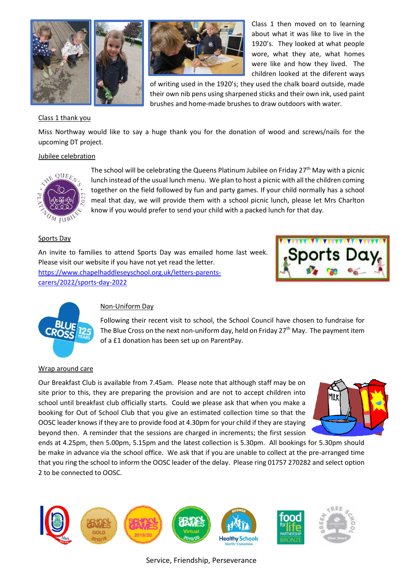





Class 1 then moved on to learning about what it was like to live in the 1920's. They looked at what people wore, what they ate, what homes were like and how they lived. The children looked at the diferent ways

of writing used in the 1920's; they used the chalk board outside, made their own nib pens using sharpened sticks and their own ink, used paint brushes and home-made brushes to draw outdoors with water.

## Class 1 thank you

Miss Northway would like to say a huge thank you for the donation of wood and screws/nails for the upcoming DT project.

### Jubilee celebration



The school will be celebrating the Queens Platinum Jubilee on Friday 27<sup>th</sup> May with a picnic lunch instead of the usual lunch menu. We plan to host a picnic with all the children coming together on the field followed by fun and party games. If your child normally has a school meal that day, we will provide them with a school picnic lunch, please let Mrs Charlton know if you would prefer to send your child with a packed lunch for that day.

#### Sports Day

An invite to families to attend Sports Day was emailed home last week. Please visit our website if you have not yet read the letter. [https://www.chapelhaddleseyschool.org.uk/letters-parents](https://www.chapelhaddleseyschool.org.uk/letters-parents-carers/2022/sports-day-2022)[carers/2022/sports-day-2022](https://www.chapelhaddleseyschool.org.uk/letters-parents-carers/2022/sports-day-2022)





## Non-Uniform Day

Following their recent visit to school, the School Council have chosen to fundraise for The Blue Cross on the next non-uniform day, held on Friday  $27<sup>th</sup>$  May. The payment item of a £1 donation has been set up on ParentPay.

#### Wrap around care

Our Breakfast Club is available from 7.45am. Please note that although staff may be on site prior to this, they are preparing the provision and are not to accept children into school until breakfast club officially starts. Could we please ask that when you make a booking for Out of School Club that you give an estimated collection time so that the OOSC leader knows if they are to provide food at 4.30pm for your child if they are staying beyond then. A reminder that the sessions are charged in increments; the first session



ends at 4.25pm, then 5.00pm, 5.15pm and the latest collection is 5.30pm. All bookings for 5.30pm should be make in advance via the school office. We ask that if you are unable to collect at the pre-arranged time that you ring the school to inform the OOSC leader of the delay. Please ring 01757 270282 and select option 2 to be connected to OOSC.

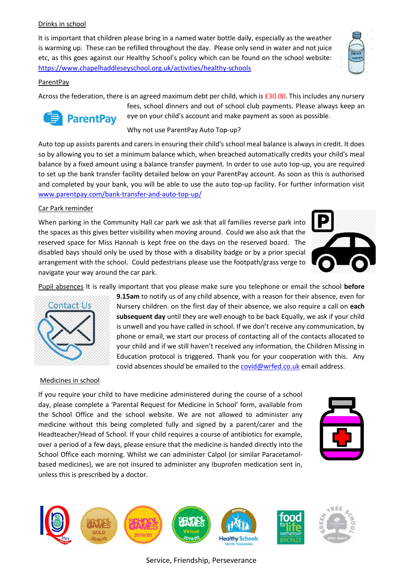## Drinks in school

It is important that children please bring in a named water bottle daily, especially as the weather is warming up. These can be refilled throughout the day. Please only send in water and not juice etc, as this goes against our Healthy School's policy which can be found on the school website: <https://www.chapelhaddleseyschool.org.uk/activities/healthy-schools>

## ParentPay

Across the federation, there is an agreed maximum debt per child, which is £30.00. This includes any nursery



fees, school dinners and out of school club payments. Please always keep an eye on your child's account and make payment as soon as possible.

Why not use ParentPay Auto Top-up?

Auto top up assists parents and carers in ensuring their child's school meal balance is always in credit. It does so by allowing you to set a minimum balance which, when breached automatically credits your child's meal balance by a fixed amount using a balance transfer payment. In order to use auto top-up, you are required to set up the bank transfer facility detailed below on your ParentPay account. As soon as this is authorised and completed by your bank, you will be able to use the auto top-up facility. For further information visit [www.parentpay.com/bank-transfer-and-auto-top-up/](http://www.parentpay.com/bank-transfer-and-auto-top-up/)

## Car Park reminder

When parking in the Community Hall car park we ask that all families reverse park into the spaces as this gives better visibility when moving around. Could we also ask that the reserved space for Miss Hannah is kept free on the days on the reserved board. The disabled bays should only be used by those with a disability badge or by a prior special arrangement with the school. Could pedestrians please use the footpath/grass verge to navigate your way around the car park.



Pupil absences It is really important that you please make sure you telephone or email the school **before** 

**9.15am** to notify us of any child absence, with a reason for their absence, even for Nursery children. on the first day of their absence, we also require a call on **each subsequent day** until they are well enough to be back Equally, we ask if your child is unwell and you have called in school. If we don't receive any communication, by phone or email, we start our process of contacting all of the contacts allocated to your child and if we still haven't received any information, the Children Missing in Education protocol is triggered. Thank you for your cooperation with this. Any

covid absences should be emailed to the [covid@wrfed.co.uk](mailto:covid@wrfed.co.uk) email address.



#### Medicines in school

If you require your child to have medicine administered during the course of a school day, please complete a 'Parental Request for Medicine in School' form, available from the School Office and the school website. We are not allowed to administer any medicine without this being completed fully and signed by a parent/carer and the Headteacher/Head of School. If your child requires a course of antibiotics for example, over a period of a few days, please ensure that the medicine is handed directly into the School Office each morning. Whilst we can administer Calpol (or similar Paracetamolbased medicines), we are not insured to administer any Ibuprofen medication sent in, unless this is prescribed by a doctor.



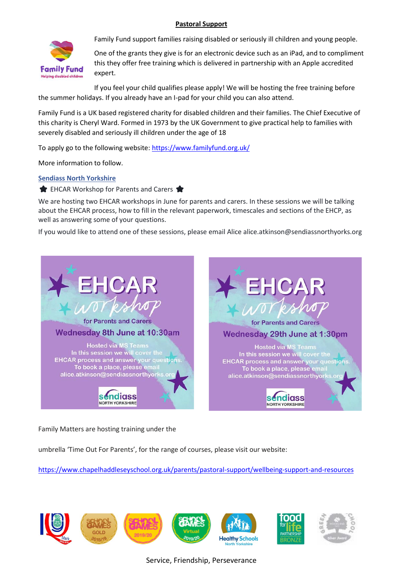## **Pastoral Support**



Family Fund support families raising disabled or seriously ill children and young people.

One of the grants they give is for an electronic device such as an iPad, and to compliment this they offer free training which is delivered in partnership with an Apple accredited expert.

If you feel your child qualifies please apply! We will be hosting the free training before the summer holidays. If you already have an I-pad for your child you can also attend.

Family Fund is a UK based registered charity for disabled children and their families. The Chief Executive of this charity is Cheryl Ward. Formed in 1973 by the UK Government to give practical help to families with severely disabled and seriously ill children under the age of 18

To apply go to the following website:<https://www.familyfund.org.uk/>

More information to follow.

### **[Sendiass North Yorkshire](https://www.facebook.com/sendiassnorthyorks?hc_ref=ARQoLKcIreBi_2uYb9vz6oZ5lrcU9Vc4qLlj9V6mcxD3648IRpd4yGU7oe-t41NzaTI&fref=nf&__xts__%5B0%5D=68.ARCOb7KAkhRAasfpqCec-jm7m9i2ahj3UqzK0Ga0sXtypBN9vLSsENoFDis2dRn8YBqAE9E4PTZp15wNxyr9C1AKvHfZ0xyPg6zw9p8VGgJp_dmwpaUoixg5ikqTuRacLpsjIoIOtwK-9jhEgBdoxwobSKurjNrYi6qO6vR25SxiFrpvbXY8YpKR2sqY-eDeTGTsCx9k-vFs86wHYquKzGMmapVaN7Rl_v2j6eKQXwGErW5V5K_DvzaNhPQ-ENT1pQ6WtkHMKFTOOLcSRHswz1P8nZ-m-wpF8kJZdrIzj5XpkhP5qSY&__tn__=C-R)**

EHCAR Workshop for Parents and Carers

We are hosting two EHCAR workshops in June for parents and carers. In these sessions we will be talking about the EHCAR process, how to fill in the relevant paperwork, timescales and sections of the EHCP, as well as answering some of your questions.

If you would like to attend one of these sessions, please email Alice alice.atkinson@sendiassnorthyorks.org



Family Matters are hosting training under the

umbrella 'Time Out For Parents', for the range of courses, please visit our website:

<https://www.chapelhaddleseyschool.org.uk/parents/pastoral-support/wellbeing-support-and-resources>

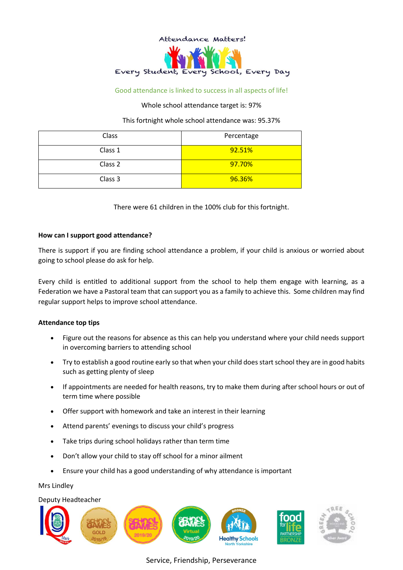

#### Good attendance is linked to success in all aspects of life!

#### Whole school attendance target is: 97%

This fortnight whole school attendance was: 95.37%

| Class   | Percentage |
|---------|------------|
| Class 1 | 92.51%     |
| Class 2 | 97.70%     |
| Class 3 | 96.36%     |

There were 61 children in the 100% club for this fortnight.

#### **How can I support good attendance?**

There is support if you are finding school attendance a problem, if your child is anxious or worried about going to school please do ask for help.

Every child is entitled to additional support from the school to help them engage with learning, as a Federation we have a Pastoral team that can support you as a family to achieve this. Some children may find regular support helps to improve school attendance.

#### **Attendance top tips**

- Figure out the reasons for absence as this can help you understand where your child needs support in overcoming barriers to attending school
- Try to establish a good routine early so that when your child does start school they are in good habits such as getting plenty of sleep
- If appointments are needed for health reasons, try to make them during after school hours or out of term time where possible
- Offer support with homework and take an interest in their learning
- Attend parents' evenings to discuss your child's progress
- Take trips during school holidays rather than term time
- Don't allow your child to stay off school for a minor ailment
- Ensure your child has a good understanding of why attendance is important

Mrs Lindley

# Deputy Headteacher